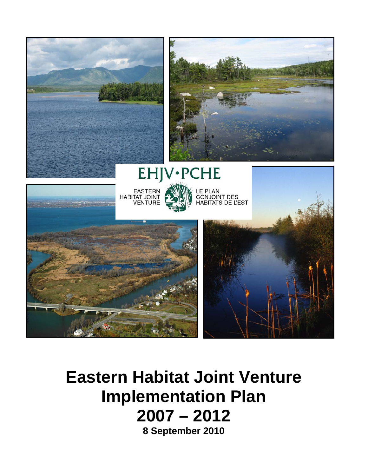

# **Eastern Habitat Joint Venture Implementation Plan 2007 – 2012**

**8 September 2010**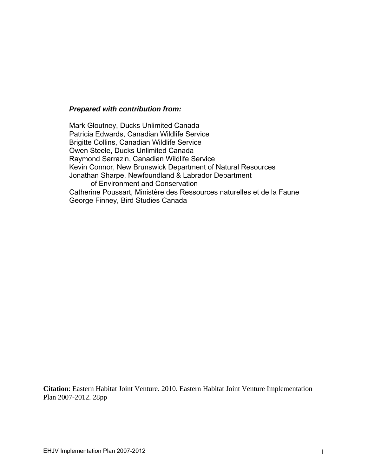#### *Prepared with contribution from:*

Mark Gloutney, Ducks Unlimited Canada Patricia Edwards, Canadian Wildlife Service Brigitte Collins, Canadian Wildlife Service Owen Steele, Ducks Unlimited Canada Raymond Sarrazin, Canadian Wildlife Service Kevin Connor, New Brunswick Department of Natural Resources Jonathan Sharpe, Newfoundland & Labrador Department of Environment and Conservation Catherine Poussart, Ministère des Ressources naturelles et de la Faune George Finney, Bird Studies Canada

**Citation**: Eastern Habitat Joint Venture. 2010. Eastern Habitat Joint Venture Implementation Plan 2007-2012. 28pp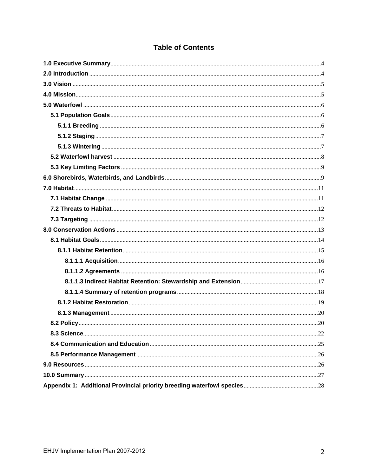| <b>Table of Contents</b> |  |  |
|--------------------------|--|--|
|                          |  |  |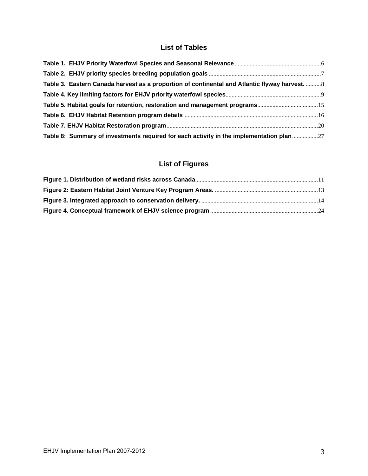## **List of Tables**

| Table 3. Eastern Canada harvest as a proportion of continental and Atlantic flyway harvest.  8 |  |
|------------------------------------------------------------------------------------------------|--|
|                                                                                                |  |
|                                                                                                |  |
|                                                                                                |  |
|                                                                                                |  |
| Table 8: Summary of investments required for each activity in the implementation plan          |  |

## **List of Figures**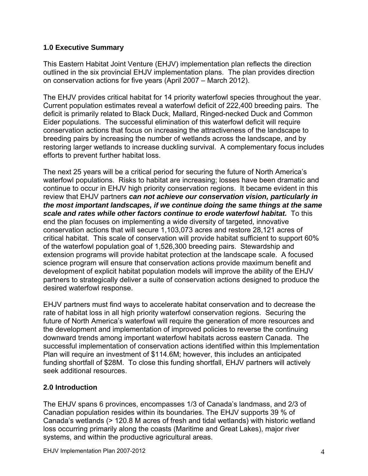## <span id="page-4-0"></span>**1.0 Executive Summary**

This Eastern Habitat Joint Venture (EHJV) implementation plan reflects the direction outlined in the six provincial EHJV implementation plans. The plan provides direction on conservation actions for five years (April 2007 – March 2012).

The EHJV provides critical habitat for 14 priority waterfowl species throughout the year. Current population estimates reveal a waterfowl deficit of 222,400 breeding pairs. The deficit is primarily related to Black Duck, Mallard, Ringed-necked Duck and Common Eider populations. The successful elimination of this waterfowl deficit will require conservation actions that focus on increasing the attractiveness of the landscape to breeding pairs by increasing the number of wetlands across the landscape, and by restoring larger wetlands to increase duckling survival. A complementary focus includes efforts to prevent further habitat loss.

The next 25 years will be a critical period for securing the future of North America's waterfowl populations. Risks to habitat are increasing; losses have been dramatic and continue to occur in EHJV high priority conservation regions. It became evident in this review that EHJV partners *can not achieve our conservation vision, particularly in the most important landscapes, if we continue doing the same things at the same scale and rates while other factors continue to erode waterfowl habitat.* To this end the plan focuses on implementing a wide diversity of targeted, innovative conservation actions that will secure 1,103,073 acres and restore 28,121 acres of critical habitat. This scale of conservation will provide habitat sufficient to support 60% of the waterfowl population goal of 1,526,300 breeding pairs. Stewardship and extension programs will provide habitat protection at the landscape scale. A focused science program will ensure that conservation actions provide maximum benefit and development of explicit habitat population models will improve the ability of the EHJV partners to strategically deliver a suite of conservation actions designed to produce the desired waterfowl response.

EHJV partners must find ways to accelerate habitat conservation and to decrease the rate of habitat loss in all high priority waterfowl conservation regions. Securing the future of North America's waterfowl will require the generation of more resources and the development and implementation of improved policies to reverse the continuing downward trends among important waterfowl habitats across eastern Canada. The successful implementation of conservation actions identified within this Implementation Plan will require an investment of \$114.6M; however, this includes an anticipated funding shortfall of \$28M. To close this funding shortfall, EHJV partners will actively seek additional resources.

## <span id="page-4-1"></span>**2.0 Introduction**

The EHJV spans 6 provinces, encompasses 1/3 of Canada's landmass, and 2/3 of Canadian population resides within its boundaries. The EHJV supports 39 % of Canada's wetlands (> 120.8 M acres of fresh and tidal wetlands) with historic wetland loss occurring primarily along the coasts (Maritime and Great Lakes), major river systems, and within the productive agricultural areas.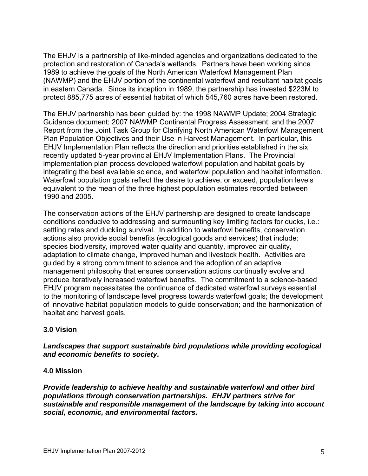The EHJV is a partnership of like-minded agencies and organizations dedicated to the protection and restoration of Canada's wetlands. Partners have been working since 1989 to achieve the goals of the North American Waterfowl Management Plan (NAWMP) and the EHJV portion of the continental waterfowl and resultant habitat goals in eastern Canada. Since its inception in 1989, the partnership has invested \$223M to protect 885,775 acres of essential habitat of which 545,760 acres have been restored.

The EHJV partnership has been guided by: the 1998 NAWMP Update; 2004 Strategic Guidance document; 2007 NAWMP Continental Progress Assessment; and the 2007 Report from the Joint Task Group for Clarifying North American Waterfowl Management Plan Population Objectives and their Use in Harvest Management. In particular, this EHJV Implementation Plan reflects the direction and priorities established in the six recently updated 5-year provincial EHJV Implementation Plans. The Provincial implementation plan process developed waterfowl population and habitat goals by integrating the best available science, and waterfowl population and habitat information. Waterfowl population goals reflect the desire to achieve, or exceed, population levels equivalent to the mean of the three highest population estimates recorded between 1990 and 2005.

The conservation actions of the EHJV partnership are designed to create landscape conditions conducive to addressing and surmounting key limiting factors for ducks, i.e.: settling rates and duckling survival. In addition to waterfowl benefits, conservation actions also provide social benefits (ecological goods and services) that include: species biodiversity, improved water quality and quantity, improved air quality, adaptation to climate change, improved human and livestock health. Activities are guided by a strong commitment to science and the adoption of an adaptive management philosophy that ensures conservation actions continually evolve and produce iteratively increased waterfowl benefits. The commitment to a science-based EHJV program necessitates the continuance of dedicated waterfowl surveys essential to the monitoring of landscape level progress towards waterfowl goals; the development of innovative habitat population models to guide conservation; and the harmonization of habitat and harvest goals.

#### <span id="page-5-0"></span>**3.0 Vision**

## *Landscapes that support sustainable bird populations while providing ecological and economic benefits to society***.**

#### <span id="page-5-1"></span>**4.0 Mission**

*Provide leadership to achieve healthy and sustainable waterfowl and other bird populations through conservation partnerships. EHJV partners strive for sustainable and responsible management of the landscape by taking into account social, economic, and environmental factors.*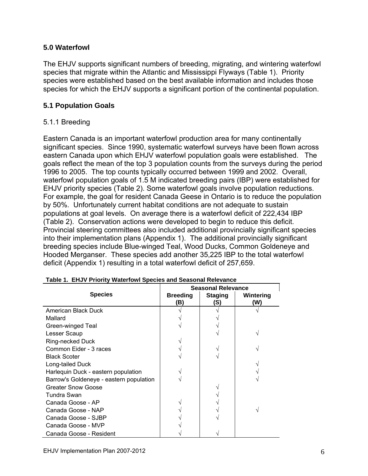#### <span id="page-6-0"></span>**5.0 Waterfowl**

The EHJV supports significant numbers of breeding, migrating, and wintering waterfowl species that migrate within the Atlantic and Mississippi Flyways (Table 1). Priority species were established based on the best available information and includes those species for which the EHJV supports a significant portion of the continental population.

#### <span id="page-6-1"></span>**5.1 Population Goals**

## <span id="page-6-2"></span>5.1.1 Breeding

Eastern Canada is an important waterfowl production area for many continentally significant species. Since 1990, systematic waterfowl surveys have been flown across eastern Canada upon which EHJV waterfowl population goals were established. The goals reflect the mean of the top 3 population counts from the surveys during the period 1996 to 2005. The top counts typically occurred between 1999 and 2002. Overall, waterfowl population goals of 1.5 M indicated breeding pairs (IBP) were established for EHJV priority species (Table 2). Some waterfowl goals involve population reductions. For example, the goal for resident Canada Geese in Ontario is to reduce the population by 50%. Unfortunately current habitat conditions are not adequate to sustain populations at goal levels. On average there is a waterfowl deficit of 222,434 IBP (Table 2). Conservation actions were developed to begin to reduce this deficit. Provincial steering committees also included additional provincially significant species into their implementation plans (Appendix 1). The additional provincially significant breeding species include Blue-winged Teal, Wood Ducks, Common Goldeneye and Hooded Merganser. These species add another 35,225 IBP to the total waterfowl deficit (Appendix 1) resulting in a total waterfowl deficit of 257,659.

<span id="page-6-3"></span>

|                                         | <b>Seasonal Relevance</b> |                       |                  |  |
|-----------------------------------------|---------------------------|-----------------------|------------------|--|
| <b>Species</b>                          | <b>Breeding</b><br>(B)    | <b>Staging</b><br>(S) | Wintering<br>(W) |  |
| American Black Duck                     |                           |                       |                  |  |
| Mallard                                 |                           |                       |                  |  |
| Green-winged Teal                       |                           |                       |                  |  |
| Lesser Scaup                            |                           |                       |                  |  |
| Ring-necked Duck                        |                           |                       |                  |  |
| Common Eider - 3 races                  |                           |                       |                  |  |
| <b>Black Scoter</b>                     |                           |                       |                  |  |
| Long-tailed Duck                        |                           |                       |                  |  |
| Harlequin Duck - eastern population     |                           |                       |                  |  |
| Barrow's Goldeneye - eastern population |                           |                       |                  |  |
| <b>Greater Snow Goose</b>               |                           |                       |                  |  |
| Tundra Swan                             |                           |                       |                  |  |
| Canada Goose - AP                       |                           |                       |                  |  |
| Canada Goose - NAP                      |                           |                       |                  |  |
| Canada Goose - SJBP                     |                           |                       |                  |  |
| Canada Goose - MVP                      |                           |                       |                  |  |
| Canada Goose - Resident                 |                           |                       |                  |  |

|  | Table 1. EHJV Priority Waterfowl Species and Seasonal Relevance |  |  |  |  |
|--|-----------------------------------------------------------------|--|--|--|--|
|--|-----------------------------------------------------------------|--|--|--|--|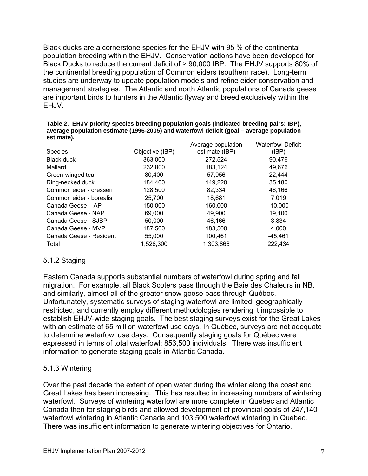Black ducks are a cornerstone species for the EHJV with 95 % of the continental population breeding within the EHJV. Conservation actions have been developed for Black Ducks to reduce the current deficit of > 90,000 IBP. The EHJV supports 80% of the continental breeding population of Common eiders (southern race). Long-term studies are underway to update population models and refine eider conservation and management strategies. The Atlantic and north Atlantic populations of Canada geese are important birds to hunters in the Atlantic flyway and breed exclusively within the EHJV.

|                         |                 | Average population | <b>Waterfowl Deficit</b> |
|-------------------------|-----------------|--------------------|--------------------------|
| <b>Species</b>          | Objective (IBP) | estimate (IBP)     | (IBP)                    |
| <b>Black duck</b>       | 363,000         | 272,524            | 90.476                   |
| Mallard                 | 232,800         | 183,124            | 49,676                   |
| Green-winged teal       | 80.400          | 57,956             | 22,444                   |
| Ring-necked duck        | 184.400         | 149,220            | 35,180                   |
| Common eider - dresseri | 128,500         | 82,334             | 46,166                   |
| Common eider - borealis | 25,700          | 18,681             | 7,019                    |
| Canada Geese - AP       | 150,000         | 160,000            | $-10,000$                |
| Canada Geese - NAP      | 69.000          | 49.900             | 19,100                   |
| Canada Geese - SJBP     | 50,000          | 46,166             | 3,834                    |
| Canada Geese - MVP      | 187,500         | 183,500            | 4,000                    |
| Canada Geese - Resident | 55,000          | 100,461            | $-45,461$                |
| Total                   | 1.526.300       | 1,303,866          | 222,434                  |

<span id="page-7-2"></span>**Table 2. EHJV priority species breeding population goals (indicated breeding pairs: IBP), average population estimate (1996-2005) and waterfowl deficit (goal – average population estimate).** 

## <span id="page-7-0"></span>5.1.2 Staging

Eastern Canada supports substantial numbers of waterfowl during spring and fall migration. For example, all Black Scoters pass through the Baie des Chaleurs in NB, and similarly, almost all of the greater snow geese pass through Québec. Unfortunately, systematic surveys of staging waterfowl are limited, geographically restricted, and currently employ different methodologies rendering it impossible to establish EHJV-wide staging goals. The best staging surveys exist for the Great Lakes with an estimate of 65 million waterfowl use days. In Québec, surveys are not adequate to determine waterfowl use days. Consequently staging goals for Québec were expressed in terms of total waterfowl: 853,500 individuals. There was insufficient information to generate staging goals in Atlantic Canada.

## <span id="page-7-1"></span>5.1.3 Wintering

Over the past decade the extent of open water during the winter along the coast and Great Lakes has been increasing. This has resulted in increasing numbers of wintering waterfowl. Surveys of wintering waterfowl are more complete in Quebec and Atlantic Canada then for staging birds and allowed development of provincial goals of 247,140 waterfowl wintering in Atlantic Canada and 103,500 waterfowl wintering in Quebec. There was insufficient information to generate wintering objectives for Ontario.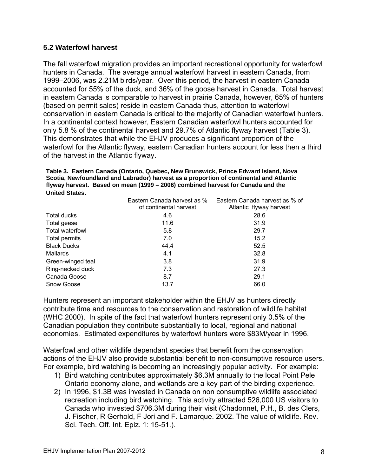## <span id="page-8-0"></span>**5.2 Waterfowl harvest**

The fall waterfowl migration provides an important recreational opportunity for waterfowl hunters in Canada. The average annual waterfowl harvest in eastern Canada, from 1999–2006, was 2.21M birds/year. Over this period, the harvest in eastern Canada accounted for 55% of the duck, and 36% of the goose harvest in Canada. Total harvest in eastern Canada is comparable to harvest in prairie Canada, however, 65% of hunters (based on permit sales) reside in eastern Canada thus, attention to waterfowl conservation in eastern Canada is critical to the majority of Canadian waterfowl hunters. In a continental context however, Eastern Canadian waterfowl hunters accounted for only 5.8 % of the continental harvest and 29.7% of Atlantic flyway harvest (Table 3). This demonstrates that while the EHJV produces a significant proportion of the waterfowl for the Atlantic flyway, eastern Canadian hunters account for less then a third of the harvest in the Atlantic flyway.

**Table 3. Eastern Canada (Ontario, Quebec, New Brunswick, Prince Edward Island, Nova Scotia, Newfoundland and Labrador) harvest as a proportion of continental and Atlantic flyway harvest. Based on mean (1999 – 2006) combined harvest for Canada and the United States**.

<span id="page-8-1"></span>

| .                      |                                                       |                                                           |
|------------------------|-------------------------------------------------------|-----------------------------------------------------------|
|                        | Eastern Canada harvest as %<br>of continental harvest | Eastern Canada harvest as % of<br>Atlantic flyway harvest |
| Total ducks            | 4.6                                                   | 28.6                                                      |
| Total geese            | 11.6                                                  | 31.9                                                      |
| <b>Total waterfowl</b> | 5.8                                                   | 29.7                                                      |
| Total permits          | 7.0                                                   | 15.2                                                      |
| <b>Black Ducks</b>     | 44.4                                                  | 52.5                                                      |
| Mallards               | 4.1                                                   | 32.8                                                      |
| Green-winged teal      | 3.8                                                   | 31.9                                                      |
| Ring-necked duck       | 7.3                                                   | 27.3                                                      |
| Canada Goose           | 8.7                                                   | 29.1                                                      |
| Snow Goose             | 13.7                                                  | 66.0                                                      |

Hunters represent an important stakeholder within the EHJV as hunters directly contribute time and resources to the conservation and restoration of wildlife habitat (WHC 2000). In spite of the fact that waterfowl hunters represent only 0.5% of the Canadian population they contribute substantially to local, regional and national economies. Estimated expenditures by waterfowl hunters were \$83M/year in 1996.

Waterfowl and other wildlife dependant species that benefit from the conservation actions of the EHJV also provide substantial benefit to non-consumptive resource users. For example, bird watching is becoming an increasingly popular activity. For example:

- 1) Bird watching contributes approximately \$6.3M annually to the local Point Pele Ontario economy alone, and wetlands are a key part of the birding experience.
- 2) In 1996, \$1.3B was invested in Canada on non consumptive wildlife associated recreation including bird watching. This activity attracted 526,000 US visitors to Canada who invested \$706.3M during their visit (Chadonnet, P.H., B. des Clers, J. Fischer, R Gerhold, F Jori and F. Lamarque. 2002. The value of wildlife. Rev. Sci. Tech. Off. Int. Epiz. 1: 15-51.).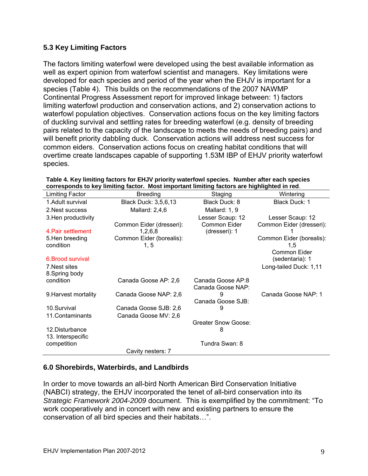## <span id="page-9-0"></span>**5.3 Key Limiting Factors**

The factors limiting waterfowl were developed using the best available information as well as expert opinion from waterfowl scientist and managers. Key limitations were developed for each species and period of the year when the EHJV is important for a species (Table 4). This builds on the recommendations of the 2007 NAWMP Continental Progress Assessment report for improved linkage between: 1) factors limiting waterfowl production and conservation actions, and 2) conservation actions to waterfowl population objectives. Conservation actions focus on the key limiting factors of duckling survival and settling rates for breeding waterfowl (e.g. density of breeding pairs related to the capacity of the landscape to meets the needs of breeding pairs) and will benefit priority dabbling duck. Conservation actions will address nest success for common eiders. Conservation actions focus on creating habitat conditions that will overtime create landscapes capable of supporting 1.53M IBP of EHJV priority waterfowl species.

<span id="page-9-2"></span>

| Limiting Factor      | <b>Breeding</b>          | Staging             | Wintering                |
|----------------------|--------------------------|---------------------|--------------------------|
| 1. Adult survival    | Black Duck: 3,5,6,13     | Black Duck: 8       | Black Duck: 1            |
| 2. Nest success      | Mallard: 2,4,6           | Mallard: 1, 9       |                          |
| 3. Hen productivity  |                          | Lesser Scaup: 12    | Lesser Scaup: 12         |
|                      | Common Eider (dresseri): | Common Eider        | Common Eider (dresseri): |
| 4. Pair settlement   | 1,2,6,8                  | (dresseri): 1       |                          |
| 5. Hen breeding      | Common Eider (borealis): |                     | Common Eider (borealis): |
| condition            | 1, 5                     |                     | 1,5                      |
|                      |                          |                     | Common Eider             |
| 6. Brood survival    |                          |                     | (sedentaria): 1          |
| 7. Nest sites        |                          |                     | Long-tailed Duck: 1,11   |
| 8. Spring body       |                          |                     |                          |
| condition            | Canada Goose AP: 2,6     | Canada Goose AP:8   |                          |
|                      |                          | Canada Goose NAP:   |                          |
| 9. Harvest mortality | Canada Goose NAP: 2,6    |                     | Canada Goose NAP: 1      |
|                      |                          | Canada Goose SJB:   |                          |
| 10.Survival          | Canada Goose SJB: 2,6    | 9                   |                          |
| 11.Contaminants      | Canada Goose MV: 2,6     |                     |                          |
|                      |                          | Greater Snow Goose: |                          |
| 12. Disturbance      |                          | 8                   |                          |
| 13. Interspecific    |                          |                     |                          |
| competition          |                          | Tundra Swan: 8      |                          |
|                      | Cavity nesters: 7        |                     |                          |

**Table 4. Key limiting factors for EHJV priority waterfowl species. Number after each species corresponds to key limiting factor. Most important limiting factors are highlighted in red**.

## <span id="page-9-1"></span>**6.0 Shorebirds, Waterbirds, and Landbirds**

In order to move towards an all-bird North American Bird Conservation Initiative (NABCI) strategy, the EHJV incorporated the tenet of all-bird conservation into its *Strategic Framework 2004-2009* document. This is exemplified by the commitment: "To work cooperatively and in concert with new and existing partners to ensure the conservation of all bird species and their habitats…".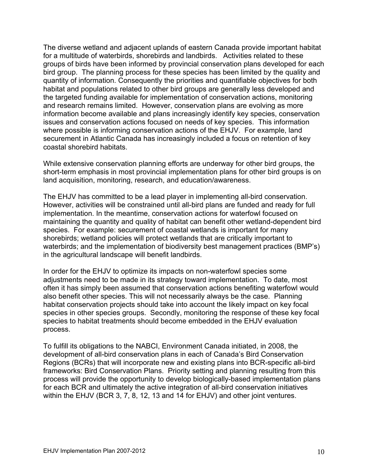The diverse wetland and adjacent uplands of eastern Canada provide important habitat for a multitude of waterbirds, shorebirds and landbirds. Activities related to these groups of birds have been informed by provincial conservation plans developed for each bird group. The planning process for these species has been limited by the quality and quantity of information. Consequently the priorities and quantifiable objectives for both habitat and populations related to other bird groups are generally less developed and the targeted funding available for implementation of conservation actions, monitoring and research remains limited. However, conservation plans are evolving as more information become available and plans increasingly identify key species, conservation issues and conservation actions focused on needs of key species. This information where possible is informing conservation actions of the EHJV. For example, land securement in Atlantic Canada has increasingly included a focus on retention of key coastal shorebird habitats.

While extensive conservation planning efforts are underway for other bird groups, the short-term emphasis in most provincial implementation plans for other bird groups is on land acquisition, monitoring, research, and education/awareness.

The EHJV has committed to be a lead player in implementing all-bird conservation. However, activities will be constrained until all-bird plans are funded and ready for full implementation. In the meantime, conservation actions for waterfowl focused on maintaining the quantity and quality of habitat can benefit other wetland-dependent bird species. For example: securement of coastal wetlands is important for many shorebirds; wetland policies will protect wetlands that are critically important to waterbirds; and the implementation of biodiversity best management practices (BMP's) in the agricultural landscape will benefit landbirds.

In order for the EHJV to optimize its impacts on non-waterfowl species some adjustments need to be made in its strategy toward implementation. To date, most often it has simply been assumed that conservation actions benefiting waterfowl would also benefit other species. This will not necessarily always be the case. Planning habitat conservation projects should take into account the likely impact on key focal species in other species groups. Secondly, monitoring the response of these key focal species to habitat treatments should become embedded in the EHJV evaluation process.

To fulfill its obligations to the NABCI, Environment Canada initiated, in 2008, the development of all-bird conservation plans in each of Canada's Bird Conservation Regions (BCRs) that will incorporate new and existing plans into BCR-specific all-bird frameworks: Bird Conservation Plans. Priority setting and planning resulting from this process will provide the opportunity to develop biologically-based implementation plans for each BCR and ultimately the active integration of all-bird conservation initiatives within the EHJV (BCR 3, 7, 8, 12, 13 and 14 for EHJV) and other joint ventures.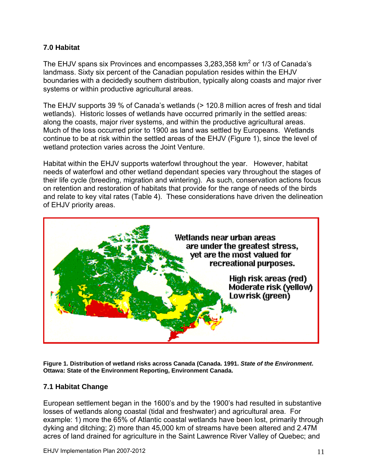## <span id="page-11-0"></span>**7.0 Habitat**

The EHJV spans six Provinces and encompasses 3,283,358  $km^2$  or 1/3 of Canada's landmass. Sixty six percent of the Canadian population resides within the EHJV boundaries with a decidedly southern distribution, typically along coasts and major river systems or within productive agricultural areas.

The EHJV supports 39 % of Canada's wetlands (> 120.8 million acres of fresh and tidal wetlands). Historic losses of wetlands have occurred primarily in the settled areas: along the coasts, major river systems, and within the productive agricultural areas. Much of the loss occurred prior to 1900 as land was settled by Europeans. Wetlands continue to be at risk within the settled areas of the EHJV (Figure 1), since the level of wetland protection varies across the Joint Venture.

Habitat within the EHJV supports waterfowl throughout the year. However, habitat needs of waterfowl and other wetland dependant species vary throughout the stages of their life cycle (breeding, migration and wintering). As such, conservation actions focus on retention and restoration of habitats that provide for the range of needs of the birds and relate to key vital rates (Table 4). These considerations have driven the delineation of EHJV priority areas.



<span id="page-11-2"></span>**Figure 1. Distribution of wetland risks across Canada (Canada. 1991.** *State of the Environment***. Ottawa: State of the Environment Reporting, Environment Canada.** 

#### <span id="page-11-1"></span>**7.1 Habitat Change**

European settlement began in the 1600's and by the 1900's had resulted in substantive losses of wetlands along coastal (tidal and freshwater) and agricultural area. For example: 1) more the 65% of Atlantic coastal wetlands have been lost, primarily through dyking and ditching; 2) more than 45,000 km of streams have been altered and 2.47M acres of land drained for agriculture in the Saint Lawrence River Valley of Quebec; and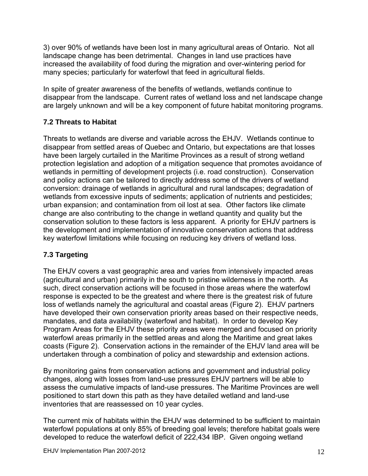3) over 90% of wetlands have been lost in many agricultural areas of Ontario. Not all landscape change has been detrimental. Changes in land use practices have increased the availability of food during the migration and over-wintering period for many species; particularly for waterfowl that feed in agricultural fields.

In spite of greater awareness of the benefits of wetlands, wetlands continue to disappear from the landscape. Current rates of wetland loss and net landscape change are largely unknown and will be a key component of future habitat monitoring programs.

## <span id="page-12-0"></span>**7.2 Threats to Habitat**

Threats to wetlands are diverse and variable across the EHJV. Wetlands continue to disappear from settled areas of Quebec and Ontario, but expectations are that losses have been largely curtailed in the Maritime Provinces as a result of strong wetland protection legislation and adoption of a mitigation sequence that promotes avoidance of wetlands in permitting of development projects (i.e. road construction). Conservation and policy actions can be tailored to directly address some of the drivers of wetland conversion: drainage of wetlands in agricultural and rural landscapes; degradation of wetlands from excessive inputs of sediments; application of nutrients and pesticides; urban expansion; and contamination from oil lost at sea. Other factors like climate change are also contributing to the change in wetland quantity and quality but the conservation solution to these factors is less apparent. A priority for EHJV partners is the development and implementation of innovative conservation actions that address key waterfowl limitations while focusing on reducing key drivers of wetland loss.

## <span id="page-12-1"></span>**7.3 Targeting**

The EHJV covers a vast geographic area and varies from intensively impacted areas (agricultural and urban) primarily in the south to pristine wilderness in the north. As such, direct conservation actions will be focused in those areas where the waterfowl response is expected to be the greatest and where there is the greatest risk of future loss of wetlands namely the agricultural and coastal areas (Figure 2). EHJV partners have developed their own conservation priority areas based on their respective needs, mandates, and data availability (waterfowl and habitat). In order to develop Key Program Areas for the EHJV these priority areas were merged and focused on priority waterfowl areas primarily in the settled areas and along the Maritime and great lakes coasts (Figure 2). Conservation actions in the remainder of the EHJV land area will be undertaken through a combination of policy and stewardship and extension actions.

By monitoring gains from conservation actions and government and industrial policy changes, along with losses from land-use pressures EHJV partners will be able to assess the cumulative impacts of land-use pressures. The Maritime Provinces are well positioned to start down this path as they have detailed wetland and land-use inventories that are reassessed on 10 year cycles.

The current mix of habitats within the EHJV was determined to be sufficient to maintain waterfowl populations at only 85% of breeding goal levels; therefore habitat goals were developed to reduce the waterfowl deficit of 222,434 IBP. Given ongoing wetland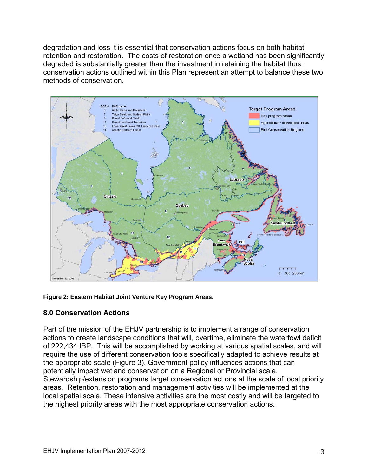degradation and loss it is essential that conservation actions focus on both habitat retention and restoration. The costs of restoration once a wetland has been significantly degraded is substantially greater than the investment in retaining the habitat thus, conservation actions outlined within this Plan represent an attempt to balance these two methods of conservation.



#### <span id="page-13-1"></span>**Figure 2: Eastern Habitat Joint Venture Key Program Areas.**

#### <span id="page-13-0"></span>**8.0 Conservation Actions**

Part of the mission of the EHJV partnership is to implement a range of conservation actions to create landscape conditions that will, overtime, eliminate the waterfowl deficit of 222,434 IBP. This will be accomplished by working at various spatial scales, and will require the use of different conservation tools specifically adapted to achieve results at the appropriate scale (Figure 3). Government policy influences actions that can potentially impact wetland conservation on a Regional or Provincial scale. Stewardship/extension programs target conservation actions at the scale of local priority areas. Retention, restoration and management activities will be implemented at the local spatial scale. These intensive activities are the most costly and will be targeted to the highest priority areas with the most appropriate conservation actions.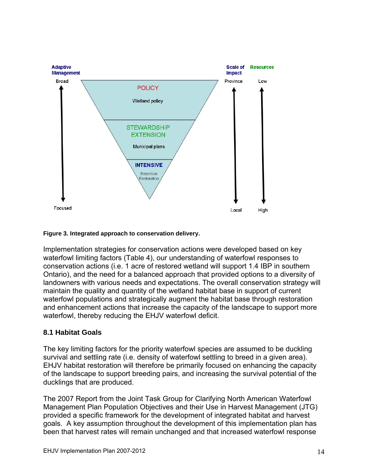

#### <span id="page-14-1"></span>**Figure 3. Integrated approach to conservation delivery.**

Implementation strategies for conservation actions were developed based on key waterfowl limiting factors (Table 4), our understanding of waterfowl responses to conservation actions (i.e. 1 acre of restored wetland will support 1.4 IBP in southern Ontario), and the need for a balanced approach that provided options to a diversity of landowners with various needs and expectations. The overall conservation strategy will maintain the quality and quantity of the wetland habitat base in support of current waterfowl populations and strategically augment the habitat base through restoration and enhancement actions that increase the capacity of the landscape to support more waterfowl, thereby reducing the EHJV waterfowl deficit.

#### <span id="page-14-0"></span>**8.1 Habitat Goals**

The key limiting factors for the priority waterfowl species are assumed to be duckling survival and settling rate (i.e. density of waterfowl settling to breed in a given area). EHJV habitat restoration will therefore be primarily focused on enhancing the capacity of the landscape to support breeding pairs, and increasing the survival potential of the ducklings that are produced.

Management Plan Population Objectives and their Use in Harvest Management (JTG) been that harvest rates will remain unchanged and that increased waterfowl response The 2007 Report from the Joint Task Group for Clarifying North American Waterfowl provided a specific framework for the development of integrated habitat and harvest goals. A key assumption throughout the development of this implementation plan has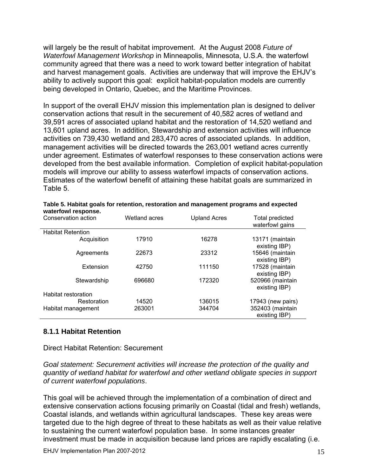will largely be the result of habitat improvement. At the August 2008 *Future of*  community agreed that there was a need to work toward better integration of habitat *Waterfowl Management Workshop* in Minneapolis, Minnesota, U.S.A. the waterfowl and harvest management goals. Activities are underway that will improve the EHJV's ability to actively support this goal: explicit habitat-population models are currently being developed in Ontario, Quebec, and the Maritime Provinces.

activities on 739,430 wetland and 283,470 acres of associated uplands. In addition, management activities will be directed towards the 263,001 wetland acres currently under agreement. Estimates of waterfowl responses to these conservation actions were developed from the best available information. Completion of explicit habitat-population models will improve our ability to assess waterfowl impacts of conservation actions. Estimates of the waterfowl benefit of attaining these habitat goals are summarized in Table 5. In support of the overall EHJV mission this implementation plan is designed to deliver conservation actions that result in the securement of 40,582 acres of wetland and 39,591 acres of associated upland habitat and the restoration of 14,520 wetland and 13,601 upland acres. In addition, Stewardship and extension activities will influence

<span id="page-15-1"></span>

| waterTowl response.      |               |                     |                                    |
|--------------------------|---------------|---------------------|------------------------------------|
| Conservation action      | Wetland acres | <b>Upland Acres</b> | Total predicted<br>waterfowl gains |
| <b>Habitat Retention</b> |               |                     |                                    |
| Acquisition              | 17910         | 16278               | 13171 (maintain<br>existing IBP)   |
| Agreements               | 22673         | 23312               | 15646 (maintain<br>existing IBP)   |
| Extension                | 42750         | 111150              | 17528 (maintain<br>existing IBP)   |
| Stewardship              | 696680        | 172320              | 520966 (maintain<br>existing IBP)  |
| Habitat restoration      |               |                     |                                    |
| Restoration              | 14520         | 136015              | 17943 (new pairs)                  |
| Habitat management       | 263001        | 344704              | 352403 (maintain<br>existing IBP)  |

#### Table 5. Habitat goals for retention, restoration and management programs and expected **waterfowl response.**

#### <span id="page-15-0"></span>**8.1.1 Habitat Retention**

#### Direct Habitat Retention: Securement

*Goal statement: Securement activities will increase the protection of the quality and quantity of wetland habitat for waterfowl and other wetland obligate species in support of current waterfowl populations*.

This goal will be achieved through the implementation of a combination of direct and extensive conservation actions focusing primarily on Coastal (tidal and fresh) wetlands, Coastal islands, and wetlands within agricultural landscapes. These key areas were targeted due to the high degree of threat to these habitats as well as their value relative to sustaining the current waterfowl population base. In some instances greater investment must be made in acquisition because land prices are rapidly escalating (i.e.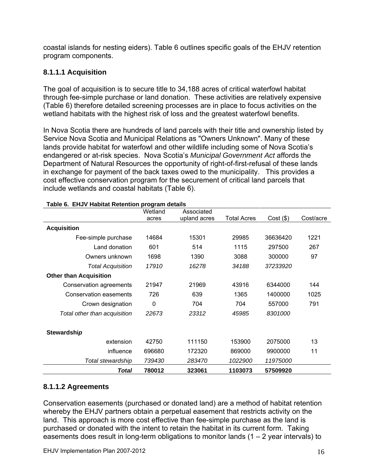coastal islands for nesting eiders). Table 6 outlines specific goals of the EHJV reten tion program components.

## <span id="page-16-0"></span>**8.1.1.1 Acquisition**

through fee-simple purchase or land donation. These activities are relatively expensive The goal of acquisition is to secure title to 34,188 acres of critical waterfowl habitat (Table 6) therefore detailed screening processes are in place to focus activities on the wetland habitats with the highest risk of loss and the greatest waterfowl benefits.

In Nova Scotia there are hundreds of land parcels with their title and ownership listed by lands provide habitat for waterfowl and other wildlife including some of Nova Scotia's endangered or at-risk species. Nova Scotia's Municipal Government Act affords the Department of Natural Resources the opportunity of right-of-first-refusal of these lands in exchange for payment of the back taxes owed to the municipality. This provides a cost effective conservation program for the securement of critical land parcels that include wetlands and coastal habitats (Table 6). Service Nova Scotia and Municipal Relations as "Owners Unknown". Many of these

<span id="page-16-2"></span>

|                               | Wetland | Associated   |             |             |           |
|-------------------------------|---------|--------------|-------------|-------------|-----------|
|                               | acres   | upland acres | Total Acres | $Cost($ \$) | Cost/acre |
| <b>Acquisition</b>            |         |              |             |             |           |
| Fee-simple purchase           | 14684   | 15301        | 29985       | 36636420    | 1221      |
| Land donation                 | 601     | 514          | 1115        | 297500      | 267       |
| Owners unknown                | 1698    | 1390         | 3088        | 300000      | 97        |
| <b>Total Acquisition</b>      | 17910   | 16278        | 34188       | 37233920    |           |
| <b>Other than Acquisition</b> |         |              |             |             |           |
| Conservation agreements       | 21947   | 21969        | 43916       | 6344000     | 144       |
| Conservation easements        | 726     | 639          | 1365        | 1400000     | 1025      |
| Crown designation             | 0       | 704          | 704         | 557000      | 791       |
| Total other than acquisition  | 22673   | 23312        | 45985       | 8301000     |           |
| Stewardship                   |         |              |             |             |           |
| extension                     | 42750   | 111150       | 153900      | 2075000     | 13        |
| influence                     | 696680  | 172320       | 869000      | 9900000     | 11        |
| Total stewardship             | 739430  | 283470       | 1022900     | 11975000    |           |
| Total                         | 780012  | 323061       | 1103073     | 57509920    |           |

#### **Table 6. EHJV Habitat Retention program details**

## <span id="page-16-1"></span>**8.1.1.2 Agreements**

Conservation easements (purchased or donated land) are a method of habitat retention whereby the EHJV partners obtain a perpetual easement that restricts activity on the land. This approach is more cost effective than fee-simple purchase as the land is purchased or donated with the intent to retain the habitat in its current form. Taking easements does result in long-term obligations to monitor lands  $(1 - 2$  year intervals) to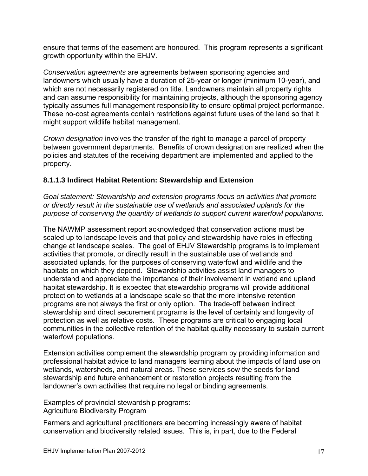ensure that terms of the easement are honoured. This program represents a significant growth opportunity within the EHJV.

*Conservation agreements* are agreements between sponsoring agencies and landowners which usually have a duration of 25-year or longer (minimum 10-year), and which are not necessarily registered on title. Landowners maintain all property rights and can assume responsibility for maintaining projects, although the sponsoring agency These no-cost agreements contain restrictions against future uses of the land so that it might support wildlife habitat management. typically assumes full management responsibility to ensure optimal project performance.

*Crown designation* involves the transfer of the right to manage a parcel of property between government departments. Benefits of crown designation are realized when the policies and statutes of the receiving department are implemented and applied to the property.

## <span id="page-17-0"></span>**.1.1.3 Indirect Habitat Retention: Stewardship and Extension 8**

purpose of conserving the quantity of wetlands to support current waterfowl populations. *Goal statement: Stewardship and extension programs focus on activities that promote or directly result in the sustainable use of wetlands and associated uplands for the* 

The NAWMP assessment report acknowledged that conservation actions must be change at landscape scales. The goal of EHJV Stewardship programs is to implement associated uplands, for the purposes of conserving waterfowl and wildlife and the understand and appreciate the importance of their involvement in wetland and upland protection to wetlands at a landscape scale so that the more intensive retention programs are not always the first or only option. The trade-off between indirect communities in the collective retention of the habitat quality necessary to sustain current scaled up to landscape levels and that policy and stewardship have roles in effecting activities that promote, or directly result in the sustainable use of wetlands and habitats on which they depend. Stewardship activities assist land managers to habitat stewardship. It is expected that stewardship programs will provide additional stewardship and direct securement programs is the level of certainty and longevity of protection as well as relative costs. These programs are critical to engaging local waterfowl populations.

Extension activities complement the stewardship program by providing information and professional habitat advice to land managers learning about the impacts of land use on wetlands, watersheds, and natural areas. These services sow the seeds for land stewardship and future enhancement or restoration projects resulting from the landowner's own activities that require no legal or binding agreements.

Examples of provincial stewardship programs: Agriculture Biodiversity Program

Farmers and agricultural practitioners are becoming increasingly aware of habitat conservation and biodiversity related issues. This is, in part, due to the Federal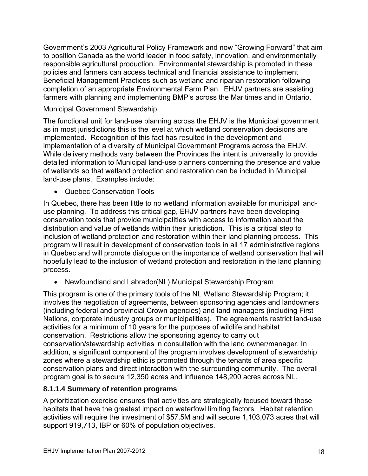Government's 2003 Agricultural Policy Framework and now "Growing Forward" that ai m to position Canada as the world leader in food safety, innovation, and environmentally responsible agricultural production. Environmental stewardship is promoted in these policies and farmers can access technical and financial assistance to implement farmers with planning and implementing BMP's across the Maritimes and in Ontario. Beneficial Management Practices such as wetland and riparian restoration following completion of an appropriate Environmental Farm Plan. EHJV partners are assisting

## Municipal Government Stewardship

implemented. Recognition of this fact has resulted in the development and implementation of a diversity of Municipal Government Programs across the EHJV. While delivery methods vary between the Provinces the intent is universally to provide of wetlands so that wetland protection and restoration can be included in Municipal The functional unit for land-use planning across the EHJV is the Municipal government as in most jurisdictions this is the level at which wetland conservation decisions are detailed information to Municipal land-use planners concerning the presence and value land-use plans. Examples include:

• Quebec Conservation Tools

distribution and value of wetlands within their jurisdiction. This is a critical step to inclusion of wetland protection and restoration within their land planning process. This program will result in development of conservation tools in all 17 administrative regions in Quebec and will promote dialogue on the importance of wetland conservation that will In Quebec, there has been little to no wetland information available for municipal landuse planning. To address this critical gap, EHJV partners have been developing conservation tools that provide municipalities with access to information about the hopefully lead to the inclusion of wetland protection and restoration in the land planning process.

Newfoundland and Labrador(NL) Municipal Stewardship Program

This program is one of the primary tools of the NL Wetland Stewardship Program; it involves the negotiation of agreements, between sponsoring agencies and landowners Nations, corporate industry groups or municipalities). The agreements restrict land-use conservation/stewardship activities in consultation with the land owner/manager. In addition, a significant component of the program involves development of stewardship conservation plans and direct interaction with the surrounding community. The overall (including federal and provincial Crown agencies) and land managers (including First activities for a minimum of 10 years for the purposes of wildlife and habitat conservation. Restrictions allow the sponsoring agency to carry out zones where a stewardship ethic is promoted through the tenants of area specific program goal is to secure 12,350 acres and influence 148,200 acres across NL.

#### <span id="page-18-0"></span>**8.1.1.4 Summary of retention programs**

A prioritization exercise ensures that activities are strategically focused toward those habitats that have the greatest impact on waterfowl limiting factors. Habitat retention activities will require the investment of \$57.5M and will secure 1,103,073 acres that will support 919,713, IBP or 60% of population objectives.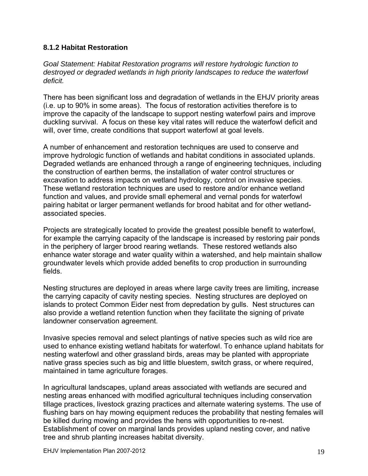## <span id="page-19-0"></span>**8.1.2 Habitat Restoration**

*Goal Statement: Habitat Restoration programs will restore hydrologic function to destroyed or degraded wetlands in high priority landscapes to reduce the waterfowl deficit.* 

There has been significant loss and degradation of wetlands in the EHJV priority areas (i.e. up to 90% in some areas). The focus of restoration activities therefore is to improve the capacity of the landscape to support nesting waterfowl pairs and improve duckling survival. A focus on these key vital rates will reduce the waterfowl deficit and will, over time, create conditions that support waterfowl at goal levels.

improve hydrologic function of wetlands and habitat conditions in associated uplands. Degraded wetlands are enhanced through a range of engineering techniques, including the construction of earthen berms, the installation of water control structures or excavation to address impacts on wetland hydrology, control on invasive species. pairing habitat or larger permanent wetlands for brood habitat and for other wetland-A number of enhancement and restoration techniques are used to conserve and These wetland restoration techniques are used to restore and/or enhance wetland function and values, and provide small ephemeral and vernal ponds for waterfowl associated species.

Projects are strategically located to provide the greatest possible benefit to waterfowl, for example the carrying capacity of the landscape is increased by restoring pair ponds enhance water storage and water quality within a watershed, and help maintain shallow in the periphery of larger brood rearing wetlands. These restored wetlands also groundwater levels which provide added benefits to crop production in surrounding fields.

Nesting structures are deployed in areas where large cavity trees are limiting, increase the carrying capacity of cavity nesting species. Nesting structures are deployed on islands to protect Common Eider nest from depredation by gulls. Nest structures can also provide a wetland retention function when they facilitate the signing of private landowner conservation agreement.

Invasive species removal and select plantings of native species such as wild rice are used to enhance existing wetland habitats for waterfowl. To enhance upland habitats for nesting waterfowl and other grassland birds, areas may be planted with appropriate native grass species such as big and little bluestem, switch grass, or where required, maintained in tame agriculture forages.

nesting areas enhanced with modified agricultural techniques including conservation tillage practices, livestock grazing practices and alternate watering systems. The use of tree and shrub planting increases habitat diversity. In agricultural landscapes, upland areas associated with wetlands are secured and flushing bars on hay mowing equipment reduces the probability that nesting females will be killed during mowing and provides the hens with opportunities to re-nest. Establishment of cover on marginal lands provides upland nesting cover, and native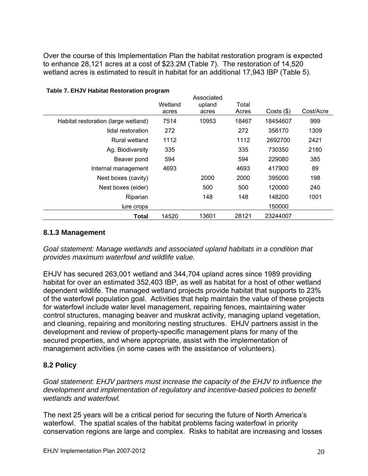Over the course of this Implementation Plan the habitat restoration program is expected to enhance 28,121 acres at a cost of \$23.2M (Table 7). The restoration of 14,520 wetland acres is estimated to result in habitat for an additional 17,943 IBP (Table 5).

<span id="page-20-2"></span>

|                                     | Wetland | Associated      | Total |              |           |
|-------------------------------------|---------|-----------------|-------|--------------|-----------|
|                                     | acres   | upland<br>acres | Acres | Costs $(\$)$ | Cost/Acre |
| Habitat restoration (large wetland) | 7514    | 10953           | 18467 | 18454607     | 999       |
| tidal restoration                   | 272     |                 | 272   | 356170       | 1309      |
| Rural wetland                       | 1112    |                 | 1112  | 2692700      | 2421      |
| Ag. Biodiversity                    | 335     |                 | 335   | 730350       | 2180      |
| Beaver pond                         | 594     |                 | 594   | 229080       | 385       |
| Internal management                 | 4693    |                 | 4693  | 417900       | 89        |
| Nest boxes (cavity)                 |         | 2000            | 2000  | 395000       | 198       |
| Nest boxes (eider)                  |         | 500             | 500   | 120000       | 240       |
| Riparian                            |         | 148             | 148   | 148200       | 1001      |
| lure crops                          |         |                 |       | 150000       |           |
| Total                               | 14520   | 13601           | 28121 | 23244007     |           |

#### **Table 7. EHJV Habitat Restoration program**

#### <span id="page-20-0"></span>**8.1.3 Management**

*Goal statement: Manage wetlands and associated upland habitats in a condition that provides maximum waterfowl and wildlife value.* 

EHJV has secured 263,001 wetland and 344,704 upland acres since 1989 providing habitat for over an estimated 352,403 IBP, as well as habitat for a host of other wetland dependent wildlife. The managed wetland projects provide habitat that supports to 23% of the waterfowl population goal. Activities that help maintain the value of thes e projects for waterfowl include water level management, repairing fences, maintaining water ontrol structures, managing beaver and muskrat activity, managing upland vegetation, c and cleaning, repairing and monitoring nesting structures. EHJV partners assist in the development and review of property-specific management plans for many of the secured properties, and where appropriate, assist with the implementation of management activities (in some cases with the assistance of volunteers).

## <span id="page-20-1"></span>**.2 Policy 8**

Goal statement: EHJV partners must increase the capacity of the EHJV to influence the *development and implementation of regulatory and incentive-based policies to benefit wetlands and waterfowl.* 

conservation regions are large and complex. Risks to habitat are increasing and losses The next 25 years will be a critical period for securing the future of North America's waterfowl. The spatial scales of the habitat problems facing waterfowl in priority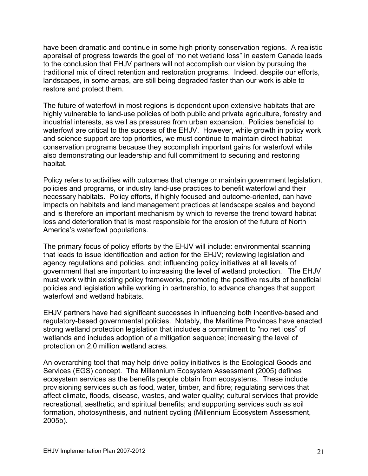have been dramatic and continue in some high priority conservation regions. A realistic appraisal of progress towards the goal of "no net wetland loss" in eastern Canada leads to the conclusion that EHJV partners will not accomplish our vision by pursuing the traditional mix of direct retention and restoration programs. Indeed, despite our efforts, landscapes, in some areas, are still being degraded faster than our work is able to restore and protect them.

The future of waterfowl in most regions is dependent upon extensive habitats that are highly vulnerable to land-use policies of both public and private agriculture, forestry and industrial interests, as well as pressures from urban expansion. Policies beneficial to waterfowl are critical to the success of the EHJV. However, while growth in policy work and science support are top priorities, we must continue to maintain direct habitat conservation programs because they accomplish important gains for waterfowl while also demonstrating our leadership and full commitment to securing and restoring habitat.

Policy refers to activities with outcomes that change or maintain government legislation, necessary habitats. Policy efforts, if highly focused and outcome-oriented, can have impacts on habitats and land management practices at landscape scales and beyond and is therefore an important mechanism by which to reverse the trend toward habitat policies and programs, or industry land-use practices to benefit waterfowl and their loss and deterioration that is most responsible for the erosion of the future of North America's waterfowl populations.

agency regulations and policies, and; influencing policy initiatives at all levels of government that are important to increasing the level of wetland protection. The EHJV The primary focus of policy efforts by the EHJV will include: environmental scanning that leads to issue identification and action for the EHJV; reviewing legislation and must work within existing policy frameworks, promoting the positive results of beneficial policies and legislation while working in partnership, to advance changes that support waterfowl and wetland habitats.

EHJV partners have had significant successes in influencing both incentive-based and regulatory-based governmental policies. Notably, the Maritime Provinces have enacted strong wetland protection legislation that includes a commitment to "no net loss" of wetlands and includes adoption of a mitigation sequence; increasing the level of protection on 2.0 million wetland acres.

provisioning services such as food, water, timber, and fibre; regulating services that ffect climate, floods, disease, wastes, and water quality; cultural services that provide a formation, photosynthesis, and nutrient cycling (Millennium Ecosystem Assessment, An overarching tool that may help drive policy initiatives is the Ecological Goods and Services (EGS) concept. The Millennium Ecosystem Assessment (2005) defines ecosystem services as the benefits people obtain from ecosystems. These include recreational, aesthetic, and spiritual benefits; and supporting services such as soil 2005b).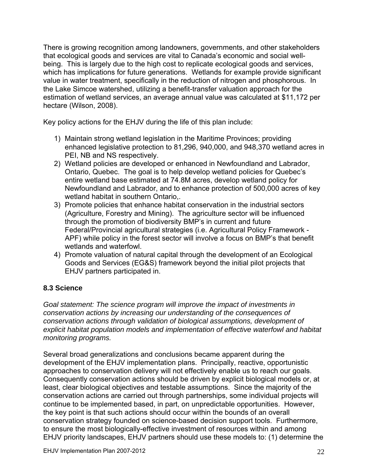There is growing recognition among landowners, governments, and other stakehol ders that ecological goods and services are vital to Canada's economic and social wellbeing. This is largely due to the high cost to replicate ecological goods and services, which has implications for future generations. Wetlands for example provide significant value in water treatment, specifically in the reduction of nitrogen and phosphorous. In the Lake Simcoe watershed, utilizing a benefit-transfer valuation approach for the estimation of wetland services, an average annual value was calculated at \$11,172 per hectare (Wilson, 2008).

Key policy actions for the EHJV during the life of this plan include:

- 1) Maintain strong wetland legislation in the Maritime Provinces; providing enhanced legislative protection to 81,296, 940,000, and 948,370 wetland acres in PEI, NB and NS respectively.
- 2) Wetland policies are developed or enhanced in Newfoundland and Labrador, entire wetland base estimated at 74.8M acres, develop wetland policy for Newfoundland and Labrador, and to enhance protection of 500,000 acres of key Ontario, Quebec. The goal is to help develop wetland policies for Quebec's wetland habitat in southern Ontario,.
- 3) Promote policies that enhance habitat conservation in the industrial sectors Federal/Provincial agricultural strategies (i.e. Agricultural Policy Framework -APF) while policy in the forest sector will involve a focus on BMP's that benefit wetlands and waterfowl. (Agriculture, Forestry and Mining). The agriculture sector will be influenced through the promotion of biodiversity BMP's in current and future
- 4) Promote valuation of natural capital through the development of an Ecological Goods and Services (EG&S) framework beyond the initial pilot projects that EHJV partners participated in.

## <span id="page-22-0"></span>**8.3 Science**

Goal statement: The science program will improve the impact of investments in *f conservation actions by increasing our understanding of the consequences o* explicit habitat population models and implementation of effective waterfowl and habitat *conservation actions through validation of biological assumptions, development of monitoring programs.* 

approaches to conservation delivery will not effectively enable us to reach our goals. continue to be implemented based, in part, on unpredictable opportunities. However, , conservation strategy founded on science-based decision support tools. Furthermore to ensure the most biologically-effective investment of resources within and among EHJV priority landscapes, EHJV partners should use these models to: (1) determine the Several broad generalizations and conclusions became apparent during the development of the EHJV implementation plans. Principally, reactive, opportunistic Consequently conservation actions should be driven by explicit biological models or, at least, clear biological objectives and testable assumptions. Since the majority of the conservation actions are carried out through partnerships, some individual projects will the key point is that such actions should occur within the bounds of an overall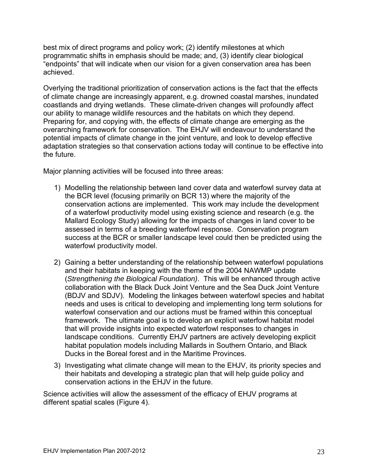best mix of direct programs and policy work; (2) identify milestones at which programmatic shifts in emphasis should be made; and, (3) identify clear biological "endpoints" that will indicate when our vision for a given conservation area has been achieved.

Overlying the traditional prioritization of conservation actions is the fact that the effects of climate change are increasingly apparent, e.g. drowned coastal marshes, inundated coastlands and drying wetlands. These climate-driven changes will profoundly affect our ability to manage wildlife resources and the habitats on which they depend. Preparing for, and copying with, the effects of climate change are emerging as the overarching framework for conservation. The EHJV will endeavour to understand the potential impacts of climate change in the joint venture, and look to develop effective adaptation strategies so that conservation actions today will continue to be effective into the future.

Major planning activities will be focused into three areas:

- 1) Modelling the relationship between land cover data and waterfowl survey data at conservation actions are implemented. This work may include the development of a waterfowl productivity model using existing science and research (e.g. the assessed in terms of a breeding waterfowl response. Conservation program the BCR level (focusing primarily on BCR 13) where the majority of the Mallard Ecology Study) allowing for the impacts of changes in land cover to be success at the BCR or smaller landscape level could then be predicted using the waterfowl productivity model.
- collaboration with the Black Duck Joint Venture and the Sea Duck Joint Venture (BDJV and SDJV). Modeling the linkages between waterfowl species and habitat needs and uses is critical to developing and implementing long term solutions for waterfowl conservation and our actions must be framed within this conceptual landscape conditions. Currently EHJV partners are actively developing explicit habitat population models including Mallards in Southern Ontario, and Black 2) Gaining a better understanding of the relationship between waterfowl populations and their habitats in keeping with the theme of the 2004 NAWMP update (*Strengthening the Biological Foundation)*. This will be enhanced through active framework. The ultimate goal is to develop an explicit waterfowl habitat model that will provide insights into expected waterfowl responses to changes in Ducks in the Boreal forest and in the Maritime Provinces.
- 3) Investigating what climate change will mean to the EHJV, its priority species and their habitats and developing a strategic plan that will help guide policy and conservation actions in the EHJV in the future.

Science activities will allow the assessment of the efficacy of EHJV programs at different spatial scales (Figure 4).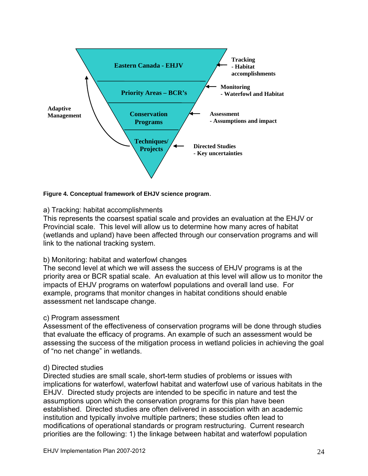

<span id="page-24-0"></span>**Figure 4. Conceptual framework of EHJV science program**.

#### a) Tracking: habitat accomplishments

This represents the coarsest spatial scale and provides an evaluation at the EHJV or Provincial scale. This level will allow us to determine how many acres of habitat (wetlands and upland) have been affected through our conservation programs and will link to the national tracking system.

#### b) Monitoring: habitat and waterfowl changes

The second level at which we will assess the success of EHJV programs is at the priority area or BCR spatial scale. An evaluation at this level will allow us to monitor the impacts of EHJV programs on waterfowl populations and overall land use. For example, programs that monitor changes in habitat conditions should enable assessment net landscape change.

## c) Program assessment

Assessment of the effectiveness of conservation programs will be done through studies that evaluate the efficacy of programs. An example of such an assessment would be assessing the success of the mitigation process in wetland policies in achieving the goal of "no net change" in wetlands.

#### d) Directed studies

Directed studies are small scale, short-term studies of problems or issues with implications for waterfowl, waterfowl habitat and waterfowl use of various habitats in the EHJV. Directed study projects are intended to be specific in nature and test the assumptions upon which the conservation programs for this plan have been established. Directed studies are often delivered in association with an academic institution and typically involve multiple partners; these studies often lead to modifications of operational standards or program restructuring. Current research priorities are the following: 1) the linkage between habitat and waterfowl population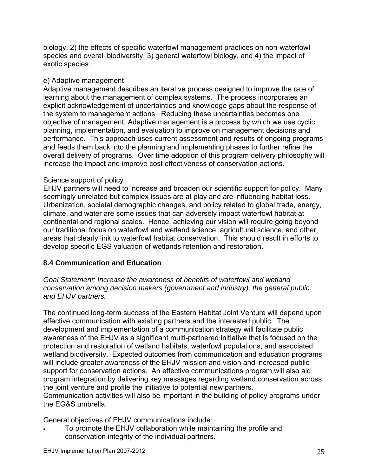biology, 2) the effects of specific waterfowl management practices on non-waterfowl species and overall biodiversity, 3) general waterfowl biology, and 4) the impact of exotic species.

## e) Adaptive management

Adaptive management describes an iterative process designed to improve the rate of learning about the management of complex systems. The process incorporates an explicit acknowledgement of uncertainties and knowledge gaps about the response of the system to management actions. Reducing these uncertainties becomes one objective of management. Adaptive management is a process by which we use cyclic planning, implementation, and evaluation to improve on management decisions and performance. This approach uses current assessment and results of ongoing programs and feeds them back into the planning and implementing phases to further refine the overall delivery of programs. Over time adoption of this program delivery philosophy will increase the impact and improve cost effectiveness of conservation actions.

## Science support of policy

EHJV partners will need to increase and broaden our scientific support for policy. Many seemingly unrelated but complex issues are at play and are influencing habitat loss. Urbanization, societal demographic changes, and policy related to global trade, energy, climate, and water are some issues that can adversely impact waterfowl habitat at continental and regional scales. Hence, achieving our vision will require going beyond our traditional focus on waterfowl and wetland science, agricultural science, and other areas that clearly link to waterfowl habitat conservation. This should result in efforts to develop specific EGS valuation of wetlands retention and restoration.

## <span id="page-25-0"></span>**8.4 Communication and Education**

*Goal Statement: Increase the awareness of benefits of waterfowl and wetland conservation among decision makers (government and industry), the general public, and EHJV partners.* 

The continued long-term success of the Eastern Habitat Joint Venture will depend upon effective communication with existing partners and the interested public. The development and implementation of a communication strategy will facilitate public awareness of the EHJV as a significant multi-partnered initiative that is focused on the protection and restoration of wetland habitats, waterfowl populations, and associated wetland biodiversity. Expected outcomes from communication and education programs will include greater awareness of the EHJV mission and vision and increased public support for conservation actions. An effective communications program will also aid program integration by delivering key messages regarding wetland conservation across the joint venture and profile the initiative to potential new partners. Communication activities will also be important in the building of policy programs under the EG&S umbrella.

General objectives of EHJV communications include:

 To promote the EHJV collaboration while maintaining the profile and conservation integrity of the individual partners.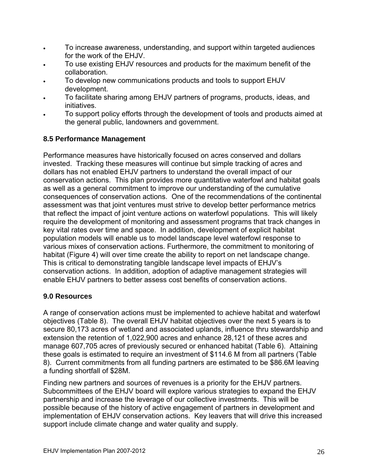- To increase awareness, understanding, and support within targeted audiences for the work of the EHJV.
- To use existing EHJV resources and products for the maximum benefit of the collaboration.
- To develop new communications products and tools to support EHJV development.
- To facilitate sharing among EHJV partners of programs, products, ideas, and initiatives.
- To support policy efforts through the development of tools and products aimed at the general public, landowners and government.

## <span id="page-26-0"></span>**8.5 Performance Management**

Performance measures have historically focused on acres conserved and dollars invested. Tracking these measures will continue but simple tracking of acres and dollars has not enabled EHJV partners to understand the overall impact of our conservation actions. This plan provides more quantitative waterfowl and habitat goals as well as a general commitment to improve our understanding of the cumulative consequences of conservation actions. One of the recommendations of the continental assessment was that joint ventures must strive to develop better performance metrics that reflect the impact of joint venture actions on waterfowl populations. This will likely require the development of monitoring and assessment programs that track changes in key vital rates over time and space. In addition, development of explicit habitat population models will enable us to model landscape level waterfowl response to various mixes of conservation actions. Furthermore, the commitment to monitoring of habitat (Figure 4) will over time create the ability to report on net landscape change. This is critical to demonstrating tangible landscape level impacts of EHJV's conservation actions. In addition, adoption of adaptive management strategies will enable EHJV partners to better assess cost benefits of conservation actions.

## <span id="page-26-1"></span>**9.0 Resources**

A range of conservation actions must be implemented to achieve habitat and waterfowl objectives (Table 8). The overall EHJV habitat objectives over the next 5 years is to secure 80,173 acres of wetland and associated uplands, influence thru stewardship and extension the retention of 1,022,900 acres and enhance 28,121 of these acres and manage 607,705 acres of previously secured or enhanced habitat (Table 6). Attaining these goals is estimated to require an investment of \$114.6 M from all partners (Table 8). Current commitments from all funding partners are estimated to be \$86.6M leaving a funding shortfall of \$28M.

Finding new partners and sources of revenues is a priority for the EHJV partners. Subcommittees of the EHJV board will explore various strategies to expand the EHJV partnership and increase the leverage of our collective investments. This will be possible because of the history of active engagement of partners in development and implementation of EHJV conservation actions. Key leavers that will drive this increased support include climate change and water quality and supply.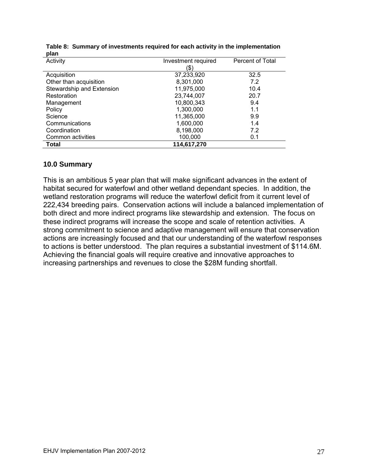<span id="page-27-1"></span>

| piuli                     |                     |                  |
|---------------------------|---------------------|------------------|
| Activity                  | Investment required | Percent of Total |
|                           | (\$                 |                  |
| Acquisition               | 37,233,920          | 32.5             |
| Other than acquisition    | 8,301,000           | 7.2              |
| Stewardship and Extension | 11,975,000          | 10.4             |
| Restoration               | 23,744,007          | 20.7             |
| Management                | 10,800,343          | 9.4              |
| Policy                    | 1,300,000           | 1.1              |
| Science                   | 11,365,000          | 9.9              |
| Communications            | 1,600,000           | 1.4              |
| Coordination              | 8,198,000           | 7.2              |
| Common activities         | 100,000             | 0.1              |
| <b>Total</b>              | 114,617,270         |                  |

|      | Table 8: Summary of investments required for each activity in the implementation |
|------|----------------------------------------------------------------------------------|
| plan |                                                                                  |

#### <span id="page-27-0"></span>**10.0 Summary**

This is an ambitious 5 year plan that will make significant advances in the extent of habitat secured for waterfowl and other wetland dependant species. In addition, the wetland restoration programs will reduce the waterfowl deficit from it current level of 222,434 breeding pairs. Conservation actions will include a balanced implementation of both direct and more indirect programs like stewardship and extension. The focus on these indirect programs will increase the scope and scale of retention activities. A strong commitment to science and adaptive management will ensure that conservation actions are increasingly focused and that our understanding of the waterfowl responses to actions is better understood. The plan requires a substantial investment of \$114.6M. Achieving the financial goals will require creative and innovative approaches to increasing partnerships and revenues to close the \$28M funding shortfall.